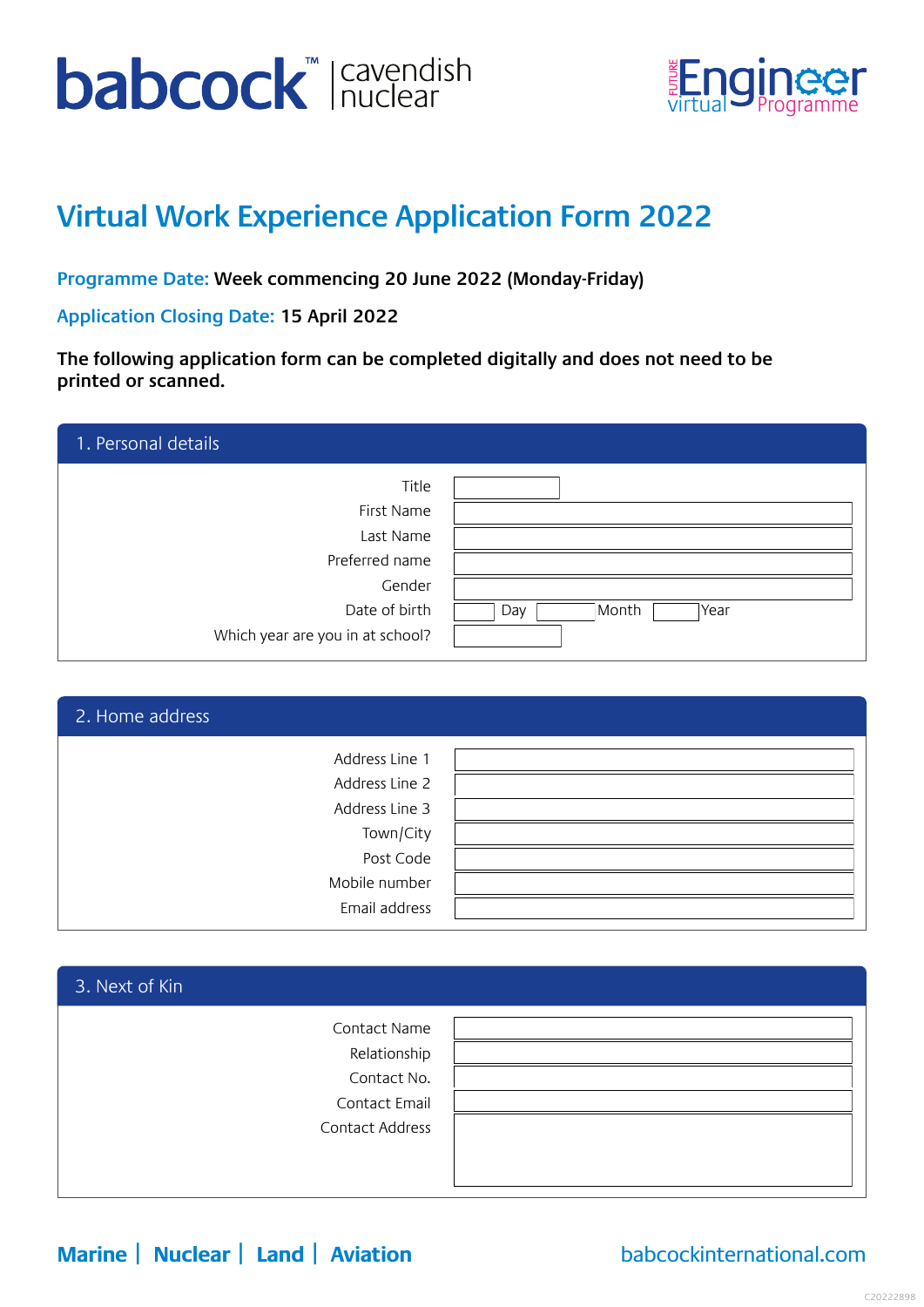# **babcock** ravendish



## **Virtual Work Experience Application Form 2022**

**Programme Date: Week commencing 20 June 2022 (Monday-Friday)**

**Application Closing Date: 15 April 2022**

**The following application form can be completed digitally and does not need to be printed or scanned.**

| 1. Personal details              |                      |
|----------------------------------|----------------------|
| Title                            |                      |
| First Name                       |                      |
| Last Name                        |                      |
| Preferred name                   |                      |
| Gender                           |                      |
| Date of birth                    | Month<br>Year<br>Day |
| Which year are you in at school? |                      |

| 2. Home address                  |  |
|----------------------------------|--|
| Address Line 1<br>Address Line 2 |  |
| Address Line 3                   |  |
| Town/City                        |  |
| Post Code                        |  |
| Mobile number                    |  |
| Email address                    |  |

| 3. Next of Kin                                               |  |
|--------------------------------------------------------------|--|
| Contact Name<br>Relationship<br>Contact No.<br>Contact Email |  |
| Contact Address                                              |  |

**Marine | Nuclear | Land | Aviation** [babcockinternational.com](https://www.babcockinternational.com/)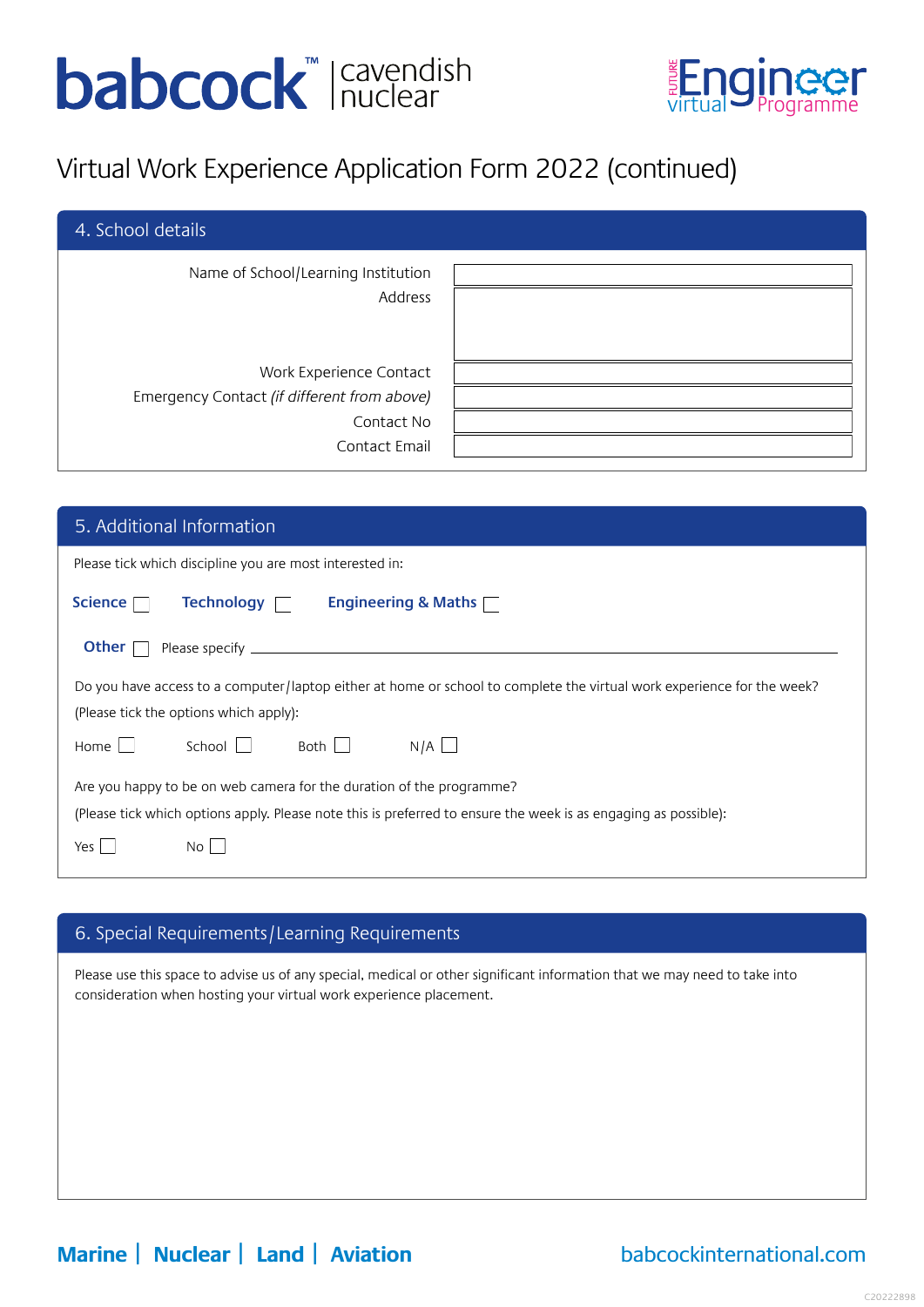# **babcock** ravendish



## Virtual Work Experience Application Form 2022 (continued)

| 4. School details                                                      |  |
|------------------------------------------------------------------------|--|
| Name of School/Learning Institution<br>Address                         |  |
| Work Experience Contact<br>Emergency Contact (if different from above) |  |
| Contact No                                                             |  |
| Contact Email                                                          |  |

| 5. Additional Information                                                                                              |  |  |
|------------------------------------------------------------------------------------------------------------------------|--|--|
| Please tick which discipline you are most interested in:                                                               |  |  |
| Technology <b>T</b><br>Science $\Box$<br>Engineering & Maths $\Box$                                                    |  |  |
| Other $\ $                                                                                                             |  |  |
| Do you have access to a computer/laptop either at home or school to complete the virtual work experience for the week? |  |  |
| (Please tick the options which apply):                                                                                 |  |  |
| Both $\Box$<br>N/A<br>School $\Box$<br>Home<br>$\sim 10$                                                               |  |  |
| Are you happy to be on web camera for the duration of the programme?                                                   |  |  |
| (Please tick which options apply. Please note this is preferred to ensure the week is as engaging as possible):        |  |  |
| Yes<br>No.                                                                                                             |  |  |

### 6. Special Requirements/Learning Requirements

Please use this space to advise us of any special, medical or other significant information that we may need to take into consideration when hosting your virtual work experience placement.

### **Marine | Nuclear | Land | Aviation** [babcockinternational.com](https://www.babcockinternational.com/)